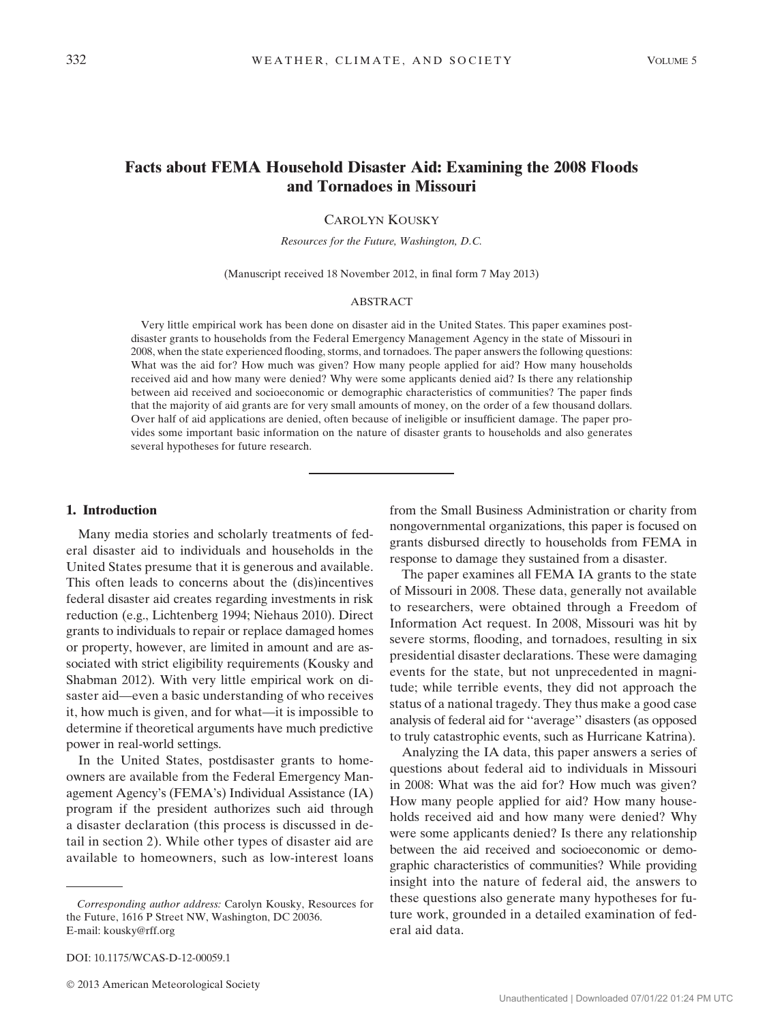# Facts about FEMA Household Disaster Aid: Examining the 2008 Floods and Tornadoes in Missouri

CAROLYN KOUSKY

Resources for the Future, Washington, D.C.

(Manuscript received 18 November 2012, in final form 7 May 2013)

#### ABSTRACT

Very little empirical work has been done on disaster aid in the United States. This paper examines postdisaster grants to households from the Federal Emergency Management Agency in the state of Missouri in 2008, when the state experienced flooding, storms, and tornadoes. The paper answers the following questions: What was the aid for? How much was given? How many people applied for aid? How many households received aid and how many were denied? Why were some applicants denied aid? Is there any relationship between aid received and socioeconomic or demographic characteristics of communities? The paper finds that the majority of aid grants are for very small amounts of money, on the order of a few thousand dollars. Over half of aid applications are denied, often because of ineligible or insufficient damage. The paper provides some important basic information on the nature of disaster grants to households and also generates several hypotheses for future research.

#### 1. Introduction

Many media stories and scholarly treatments of federal disaster aid to individuals and households in the United States presume that it is generous and available. This often leads to concerns about the (dis)incentives federal disaster aid creates regarding investments in risk reduction (e.g., Lichtenberg 1994; Niehaus 2010). Direct grants to individuals to repair or replace damaged homes or property, however, are limited in amount and are associated with strict eligibility requirements (Kousky and Shabman 2012). With very little empirical work on disaster aid—even a basic understanding of who receives it, how much is given, and for what—it is impossible to determine if theoretical arguments have much predictive power in real-world settings.

In the United States, postdisaster grants to homeowners are available from the Federal Emergency Management Agency's (FEMA's) Individual Assistance (IA) program if the president authorizes such aid through a disaster declaration (this process is discussed in detail in section 2). While other types of disaster aid are available to homeowners, such as low-interest loans

DOI: 10.1175/WCAS-D-12-00059.1

2013 American Meteorological Society

from the Small Business Administration or charity from nongovernmental organizations, this paper is focused on grants disbursed directly to households from FEMA in response to damage they sustained from a disaster.

The paper examines all FEMA IA grants to the state of Missouri in 2008. These data, generally not available to researchers, were obtained through a Freedom of Information Act request. In 2008, Missouri was hit by severe storms, flooding, and tornadoes, resulting in six presidential disaster declarations. These were damaging events for the state, but not unprecedented in magnitude; while terrible events, they did not approach the status of a national tragedy. They thus make a good case analysis of federal aid for ''average'' disasters (as opposed to truly catastrophic events, such as Hurricane Katrina).

Analyzing the IA data, this paper answers a series of questions about federal aid to individuals in Missouri in 2008: What was the aid for? How much was given? How many people applied for aid? How many households received aid and how many were denied? Why were some applicants denied? Is there any relationship between the aid received and socioeconomic or demographic characteristics of communities? While providing insight into the nature of federal aid, the answers to these questions also generate many hypotheses for future work, grounded in a detailed examination of federal aid data.

Corresponding author address: Carolyn Kousky, Resources for the Future, 1616 P Street NW, Washington, DC 20036. E-mail: [kousky@rff.org](mailto:kousky@rff.org)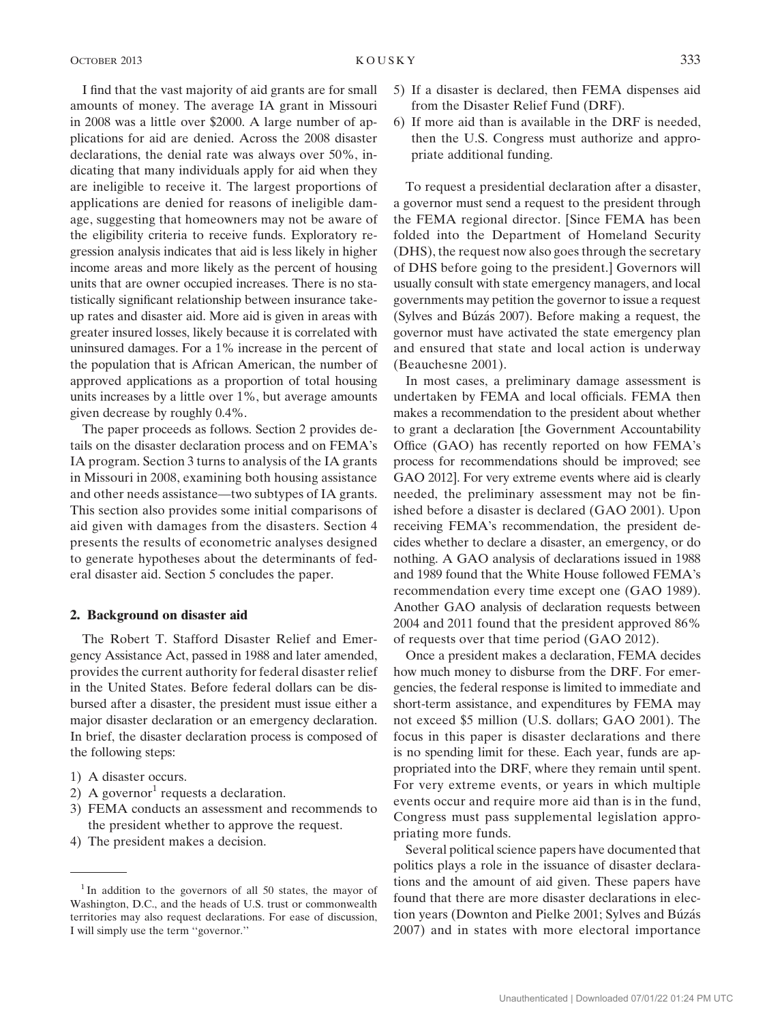I find that the vast majority of aid grants are for small amounts of money. The average IA grant in Missouri in 2008 was a little over \$2000. A large number of applications for aid are denied. Across the 2008 disaster declarations, the denial rate was always over 50%, indicating that many individuals apply for aid when they are ineligible to receive it. The largest proportions of applications are denied for reasons of ineligible damage, suggesting that homeowners may not be aware of the eligibility criteria to receive funds. Exploratory regression analysis indicates that aid is less likely in higher income areas and more likely as the percent of housing units that are owner occupied increases. There is no statistically significant relationship between insurance takeup rates and disaster aid. More aid is given in areas with greater insured losses, likely because it is correlated with uninsured damages. For a 1% increase in the percent of the population that is African American, the number of approved applications as a proportion of total housing units increases by a little over 1%, but average amounts given decrease by roughly 0.4%.

The paper proceeds as follows. Section 2 provides details on the disaster declaration process and on FEMA's IA program. Section 3 turns to analysis of the IA grants in Missouri in 2008, examining both housing assistance and other needs assistance—two subtypes of IA grants. This section also provides some initial comparisons of aid given with damages from the disasters. Section 4 presents the results of econometric analyses designed to generate hypotheses about the determinants of federal disaster aid. Section 5 concludes the paper.

#### 2. Background on disaster aid

The Robert T. Stafford Disaster Relief and Emergency Assistance Act, passed in 1988 and later amended, provides the current authority for federal disaster relief in the United States. Before federal dollars can be disbursed after a disaster, the president must issue either a major disaster declaration or an emergency declaration. In brief, the disaster declaration process is composed of the following steps:

- 1) A disaster occurs.
- 2) A governor requests a declaration.
- 3) FEMA conducts an assessment and recommends to the president whether to approve the request.
- 4) The president makes a decision.
- 5) If a disaster is declared, then FEMA dispenses aid from the Disaster Relief Fund (DRF).
- 6) If more aid than is available in the DRF is needed, then the U.S. Congress must authorize and appropriate additional funding.

To request a presidential declaration after a disaster, a governor must send a request to the president through the FEMA regional director. [Since FEMA has been folded into the Department of Homeland Security (DHS), the request now also goes through the secretary of DHS before going to the president.] Governors will usually consult with state emergency managers, and local governments may petition the governor to issue a request (Sylves and Búzás 2007). Before making a request, the governor must have activated the state emergency plan and ensured that state and local action is underway (Beauchesne 2001).

In most cases, a preliminary damage assessment is undertaken by FEMA and local officials. FEMA then makes a recommendation to the president about whether to grant a declaration [the Government Accountability Office (GAO) has recently reported on how FEMA's process for recommendations should be improved; see GAO 2012]. For very extreme events where aid is clearly needed, the preliminary assessment may not be finished before a disaster is declared (GAO 2001). Upon receiving FEMA's recommendation, the president decides whether to declare a disaster, an emergency, or do nothing. A GAO analysis of declarations issued in 1988 and 1989 found that the White House followed FEMA's recommendation every time except one (GAO 1989). Another GAO analysis of declaration requests between 2004 and 2011 found that the president approved 86% of requests over that time period (GAO 2012).

Once a president makes a declaration, FEMA decides how much money to disburse from the DRF. For emergencies, the federal response is limited to immediate and short-term assistance, and expenditures by FEMA may not exceed \$5 million (U.S. dollars; GAO 2001). The focus in this paper is disaster declarations and there is no spending limit for these. Each year, funds are appropriated into the DRF, where they remain until spent. For very extreme events, or years in which multiple events occur and require more aid than is in the fund, Congress must pass supplemental legislation appropriating more funds.

Several political science papers have documented that politics plays a role in the issuance of disaster declarations and the amount of aid given. These papers have found that there are more disaster declarations in election years (Downton and Pielke 2001; Sylves and Búzás 2007) and in states with more electoral importance

 $1$ In addition to the governors of all 50 states, the mayor of Washington, D.C., and the heads of U.S. trust or commonwealth territories may also request declarations. For ease of discussion, I will simply use the term ''governor.''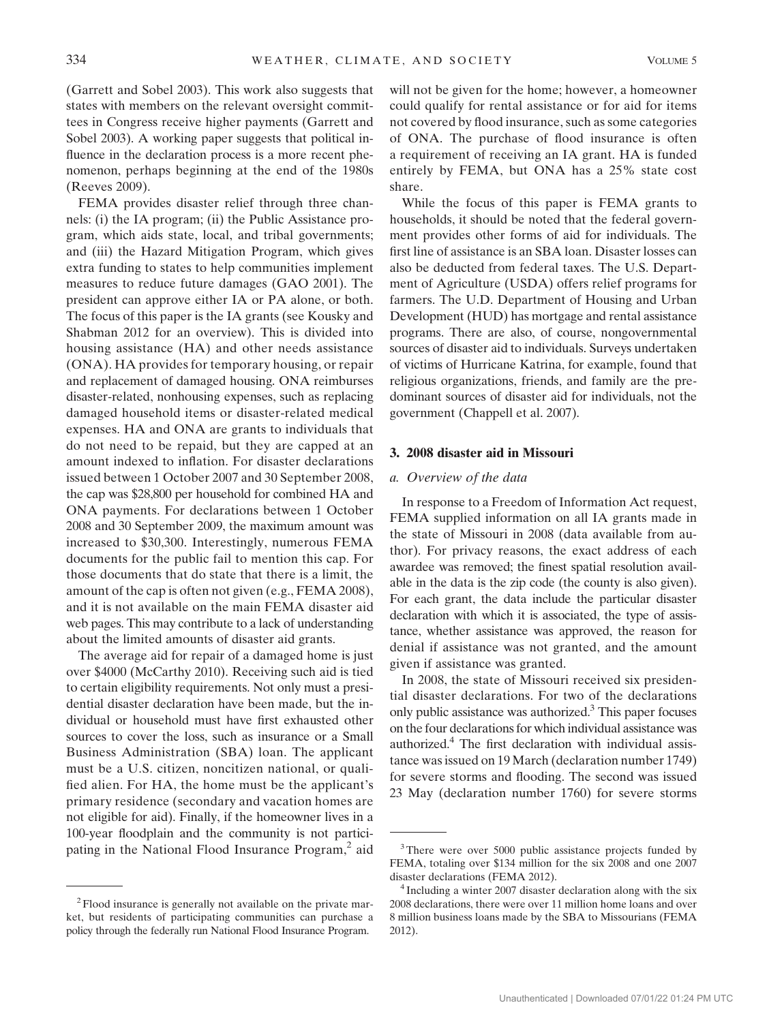(Garrett and Sobel 2003). This work also suggests that states with members on the relevant oversight committees in Congress receive higher payments (Garrett and Sobel 2003). A working paper suggests that political influence in the declaration process is a more recent phenomenon, perhaps beginning at the end of the 1980s (Reeves 2009).

FEMA provides disaster relief through three channels: (i) the IA program; (ii) the Public Assistance program, which aids state, local, and tribal governments; and (iii) the Hazard Mitigation Program, which gives extra funding to states to help communities implement measures to reduce future damages (GAO 2001). The president can approve either IA or PA alone, or both. The focus of this paper is the IA grants (see Kousky and Shabman 2012 for an overview). This is divided into housing assistance (HA) and other needs assistance (ONA). HA provides for temporary housing, or repair and replacement of damaged housing. ONA reimburses disaster-related, nonhousing expenses, such as replacing damaged household items or disaster-related medical expenses. HA and ONA are grants to individuals that do not need to be repaid, but they are capped at an amount indexed to inflation. For disaster declarations issued between 1 October 2007 and 30 September 2008, the cap was \$28,800 per household for combined HA and ONA payments. For declarations between 1 October 2008 and 30 September 2009, the maximum amount was increased to \$30,300. Interestingly, numerous FEMA documents for the public fail to mention this cap. For those documents that do state that there is a limit, the amount of the cap is often not given (e.g., FEMA 2008), and it is not available on the main FEMA disaster aid web pages. This may contribute to a lack of understanding about the limited amounts of disaster aid grants.

The average aid for repair of a damaged home is just over \$4000 (McCarthy 2010). Receiving such aid is tied to certain eligibility requirements. Not only must a presidential disaster declaration have been made, but the individual or household must have first exhausted other sources to cover the loss, such as insurance or a Small Business Administration (SBA) loan. The applicant must be a U.S. citizen, noncitizen national, or qualified alien. For HA, the home must be the applicant's primary residence (secondary and vacation homes are not eligible for aid). Finally, if the homeowner lives in a 100-year floodplain and the community is not participating in the National Flood Insurance Program,<sup>2</sup> aid

will not be given for the home; however, a homeowner could qualify for rental assistance or for aid for items not covered by flood insurance, such as some categories of ONA. The purchase of flood insurance is often a requirement of receiving an IA grant. HA is funded entirely by FEMA, but ONA has a 25% state cost share.

While the focus of this paper is FEMA grants to households, it should be noted that the federal government provides other forms of aid for individuals. The first line of assistance is an SBA loan. Disaster losses can also be deducted from federal taxes. The U.S. Department of Agriculture (USDA) offers relief programs for farmers. The U.D. Department of Housing and Urban Development (HUD) has mortgage and rental assistance programs. There are also, of course, nongovernmental sources of disaster aid to individuals. Surveys undertaken of victims of Hurricane Katrina, for example, found that religious organizations, friends, and family are the predominant sources of disaster aid for individuals, not the government (Chappell et al. 2007).

# 3. 2008 disaster aid in Missouri

# a. Overview of the data

In response to a Freedom of Information Act request, FEMA supplied information on all IA grants made in the state of Missouri in 2008 (data available from author). For privacy reasons, the exact address of each awardee was removed; the finest spatial resolution available in the data is the zip code (the county is also given). For each grant, the data include the particular disaster declaration with which it is associated, the type of assistance, whether assistance was approved, the reason for denial if assistance was not granted, and the amount given if assistance was granted.

In 2008, the state of Missouri received six presidential disaster declarations. For two of the declarations only public assistance was authorized.<sup>3</sup> This paper focuses on the four declarations for which individual assistance was authorized.4 The first declaration with individual assistance was issued on 19 March (declaration number 1749) for severe storms and flooding. The second was issued 23 May (declaration number 1760) for severe storms

<sup>&</sup>lt;sup>2</sup> Flood insurance is generally not available on the private market, but residents of participating communities can purchase a policy through the federally run National Flood Insurance Program.

<sup>&</sup>lt;sup>3</sup>There were over 5000 public assistance projects funded by FEMA, totaling over \$134 million for the six 2008 and one 2007 disaster declarations (FEMA 2012).<br><sup>4</sup> Including a winter 2007 disaster declaration along with the six

<sup>2008</sup> declarations, there were over 11 million home loans and over 8 million business loans made by the SBA to Missourians (FEMA 2012).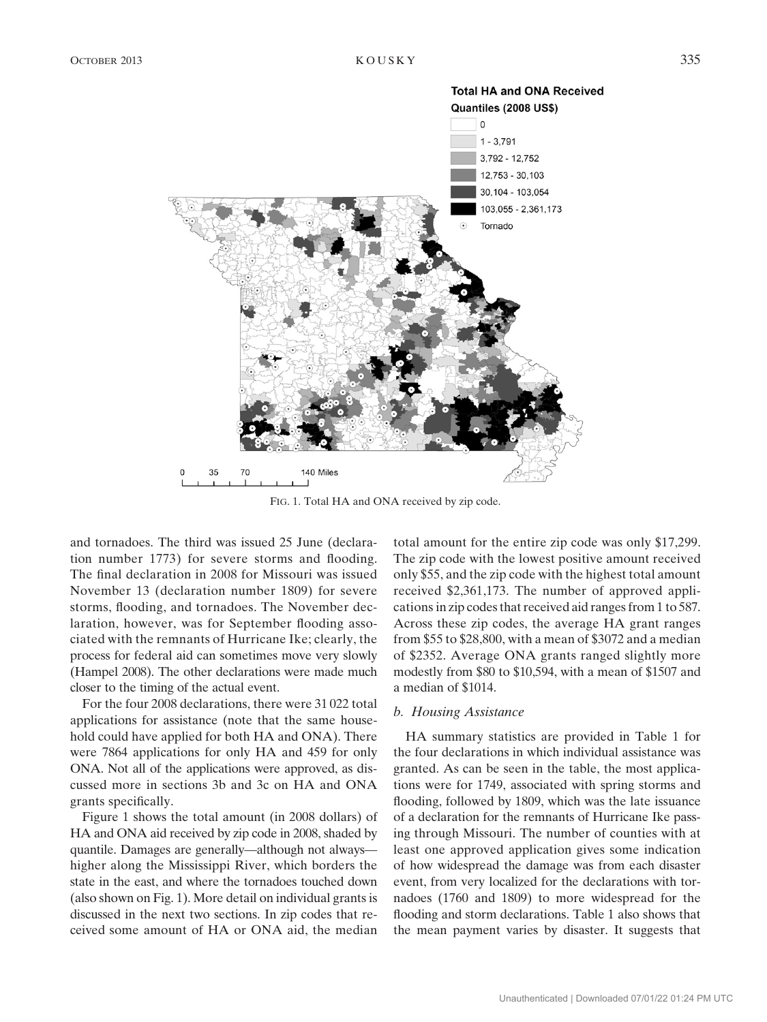

FIG. 1. Total HA and ONA received by zip code.

and tornadoes. The third was issued 25 June (declaration number 1773) for severe storms and flooding. The final declaration in 2008 for Missouri was issued November 13 (declaration number 1809) for severe storms, flooding, and tornadoes. The November declaration, however, was for September flooding associated with the remnants of Hurricane Ike; clearly, the process for federal aid can sometimes move very slowly (Hampel 2008). The other declarations were made much closer to the timing of the actual event.

For the four 2008 declarations, there were 31 022 total applications for assistance (note that the same household could have applied for both HA and ONA). There were 7864 applications for only HA and 459 for only ONA. Not all of the applications were approved, as discussed more in sections 3b and 3c on HA and ONA grants specifically.

Figure 1 shows the total amount (in 2008 dollars) of HA and ONA aid received by zip code in 2008, shaded by quantile. Damages are generally—although not always higher along the Mississippi River, which borders the state in the east, and where the tornadoes touched down (also shown on Fig. 1). More detail on individual grants is discussed in the next two sections. In zip codes that received some amount of HA or ONA aid, the median

total amount for the entire zip code was only \$17,299. The zip code with the lowest positive amount received only \$55, and the zip code with the highest total amount received \$2,361,173. The number of approved applications in zip codes that received aid ranges from 1 to 587. Across these zip codes, the average HA grant ranges from \$55 to \$28,800, with a mean of \$3072 and a median of \$2352. Average ONA grants ranged slightly more modestly from \$80 to \$10,594, with a mean of \$1507 and a median of \$1014.

#### b. Housing Assistance

HA summary statistics are provided in Table 1 for the four declarations in which individual assistance was granted. As can be seen in the table, the most applications were for 1749, associated with spring storms and flooding, followed by 1809, which was the late issuance of a declaration for the remnants of Hurricane Ike passing through Missouri. The number of counties with at least one approved application gives some indication of how widespread the damage was from each disaster event, from very localized for the declarations with tornadoes (1760 and 1809) to more widespread for the flooding and storm declarations. Table 1 also shows that the mean payment varies by disaster. It suggests that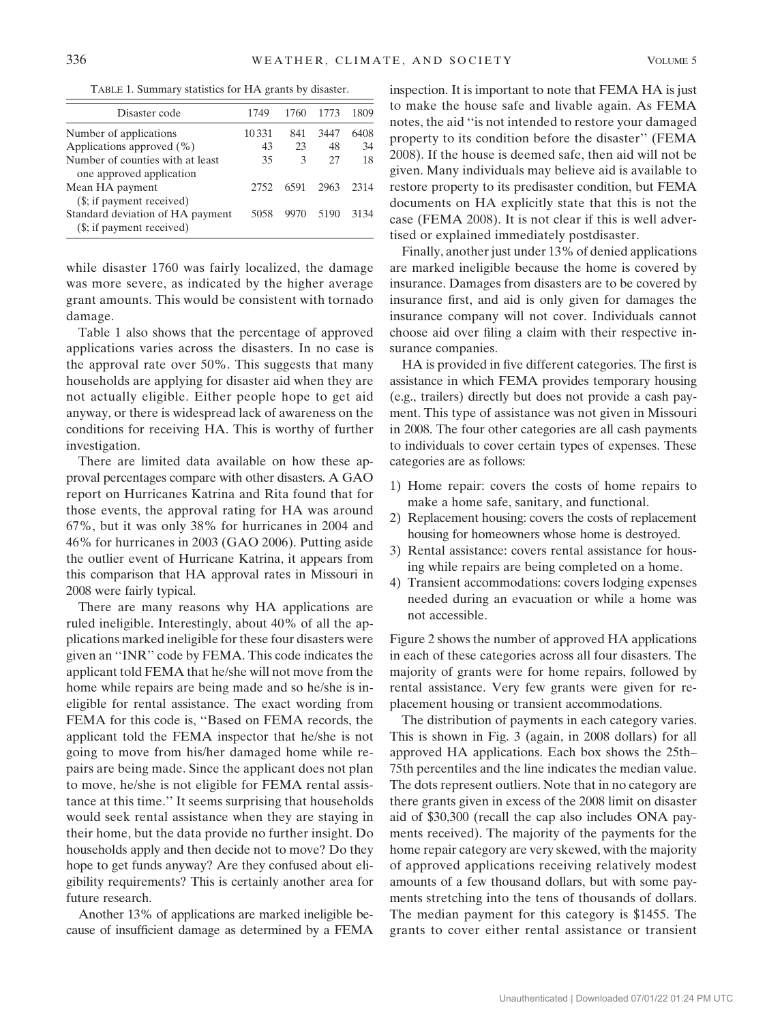TABLE 1. Summary statistics for HA grants by disaster.

| Disaster code                                                 | 1749  | 1760 | 1773 | 1809 |
|---------------------------------------------------------------|-------|------|------|------|
| Number of applications                                        | 10331 | 841  | 3447 | 6408 |
| Applications approved (%)                                     | 43    | 23   | 48   | 34   |
| Number of counties with at least<br>one approved application  | 35    | 3    | 27   | 18   |
| Mean HA payment<br>(\$; if payment received)                  | 2752  | 6591 | 2963 | 2314 |
| Standard deviation of HA payment<br>(\$; if payment received) | 5058  |      | 5190 | 3134 |

while disaster 1760 was fairly localized, the damage was more severe, as indicated by the higher average grant amounts. This would be consistent with tornado damage.

Table 1 also shows that the percentage of approved applications varies across the disasters. In no case is the approval rate over 50%. This suggests that many households are applying for disaster aid when they are not actually eligible. Either people hope to get aid anyway, or there is widespread lack of awareness on the conditions for receiving HA. This is worthy of further investigation.

There are limited data available on how these approval percentages compare with other disasters. A GAO report on Hurricanes Katrina and Rita found that for those events, the approval rating for HA was around 67%, but it was only 38% for hurricanes in 2004 and 46% for hurricanes in 2003 (GAO 2006). Putting aside the outlier event of Hurricane Katrina, it appears from this comparison that HA approval rates in Missouri in 2008 were fairly typical.

There are many reasons why HA applications are ruled ineligible. Interestingly, about 40% of all the applications marked ineligible for these four disasters were given an ''INR'' code by FEMA. This code indicates the applicant told FEMA that he/she will not move from the home while repairs are being made and so he/she is ineligible for rental assistance. The exact wording from FEMA for this code is, ''Based on FEMA records, the applicant told the FEMA inspector that he/she is not going to move from his/her damaged home while repairs are being made. Since the applicant does not plan to move, he/she is not eligible for FEMA rental assistance at this time.'' It seems surprising that households would seek rental assistance when they are staying in their home, but the data provide no further insight. Do households apply and then decide not to move? Do they hope to get funds anyway? Are they confused about eligibility requirements? This is certainly another area for future research.

Another 13% of applications are marked ineligible because of insufficient damage as determined by a FEMA inspection. It is important to note that FEMA HA is just to make the house safe and livable again. As FEMA notes, the aid ''is not intended to restore your damaged property to its condition before the disaster'' (FEMA 2008). If the house is deemed safe, then aid will not be given. Many individuals may believe aid is available to restore property to its predisaster condition, but FEMA documents on HA explicitly state that this is not the case (FEMA 2008). It is not clear if this is well advertised or explained immediately postdisaster.

Finally, another just under 13% of denied applications are marked ineligible because the home is covered by insurance. Damages from disasters are to be covered by insurance first, and aid is only given for damages the insurance company will not cover. Individuals cannot choose aid over filing a claim with their respective insurance companies.

HA is provided in five different categories. The first is assistance in which FEMA provides temporary housing (e.g., trailers) directly but does not provide a cash payment. This type of assistance was not given in Missouri in 2008. The four other categories are all cash payments to individuals to cover certain types of expenses. These categories are as follows:

- 1) Home repair: covers the costs of home repairs to make a home safe, sanitary, and functional.
- 2) Replacement housing: covers the costs of replacement housing for homeowners whose home is destroyed.
- 3) Rental assistance: covers rental assistance for housing while repairs are being completed on a home.
- 4) Transient accommodations: covers lodging expenses needed during an evacuation or while a home was not accessible.

Figure 2 shows the number of approved HA applications in each of these categories across all four disasters. The majority of grants were for home repairs, followed by rental assistance. Very few grants were given for replacement housing or transient accommodations.

The distribution of payments in each category varies. This is shown in Fig. 3 (again, in 2008 dollars) for all approved HA applications. Each box shows the 25th– 75th percentiles and the line indicates the median value. The dots represent outliers. Note that in no category are there grants given in excess of the 2008 limit on disaster aid of \$30,300 (recall the cap also includes ONA payments received). The majority of the payments for the home repair category are very skewed, with the majority of approved applications receiving relatively modest amounts of a few thousand dollars, but with some payments stretching into the tens of thousands of dollars. The median payment for this category is \$1455. The grants to cover either rental assistance or transient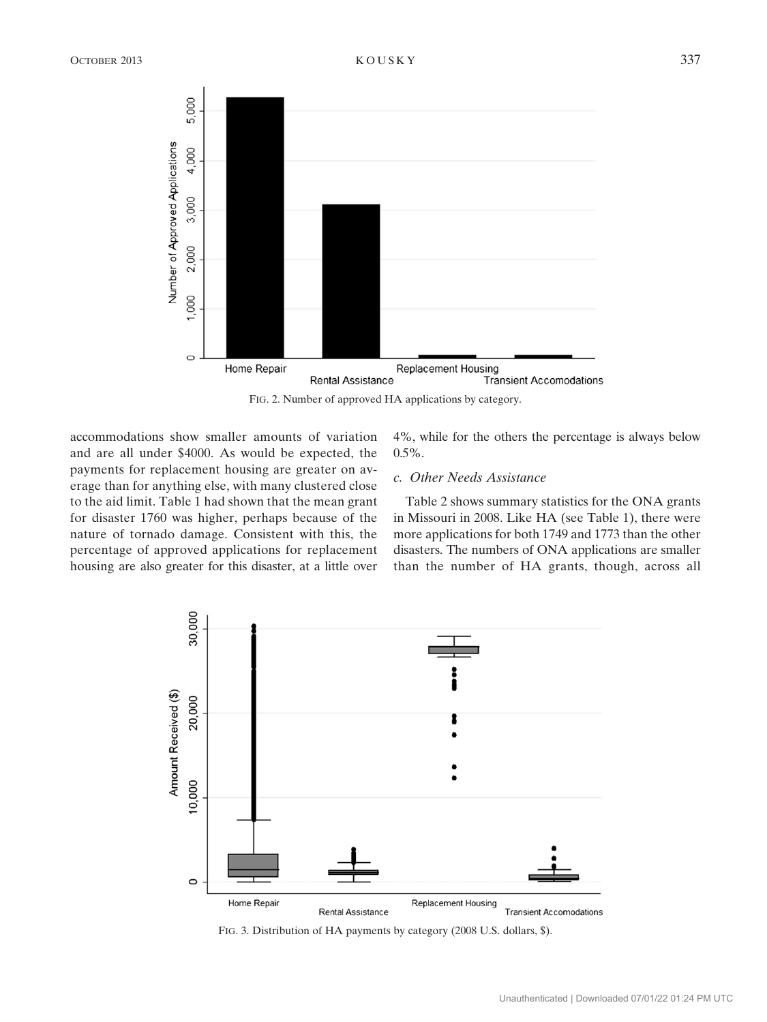

FIG. 2. Number of approved HA applications by category.

accommodations show smaller amounts of variation and are all under \$4000. As would be expected, the payments for replacement housing are greater on average than for anything else, with many clustered close to the aid limit. Table 1 had shown that the mean grant for disaster 1760 was higher, perhaps because of the nature of tornado damage. Consistent with this, the percentage of approved applications for replacement housing are also greater for this disaster, at a little over 4%, while for the others the percentage is always below  $0.5\%$ .

# c. Other Needs Assistance

Table 2 shows summary statistics for the ONA grants in Missouri in 2008. Like HA (see Table 1), there were more applications for both 1749 and 1773 than the other disasters. The numbers of ONA applications are smaller than the number of HA grants, though, across all



FIG. 3. Distribution of HA payments by category (2008 U.S. dollars, \$).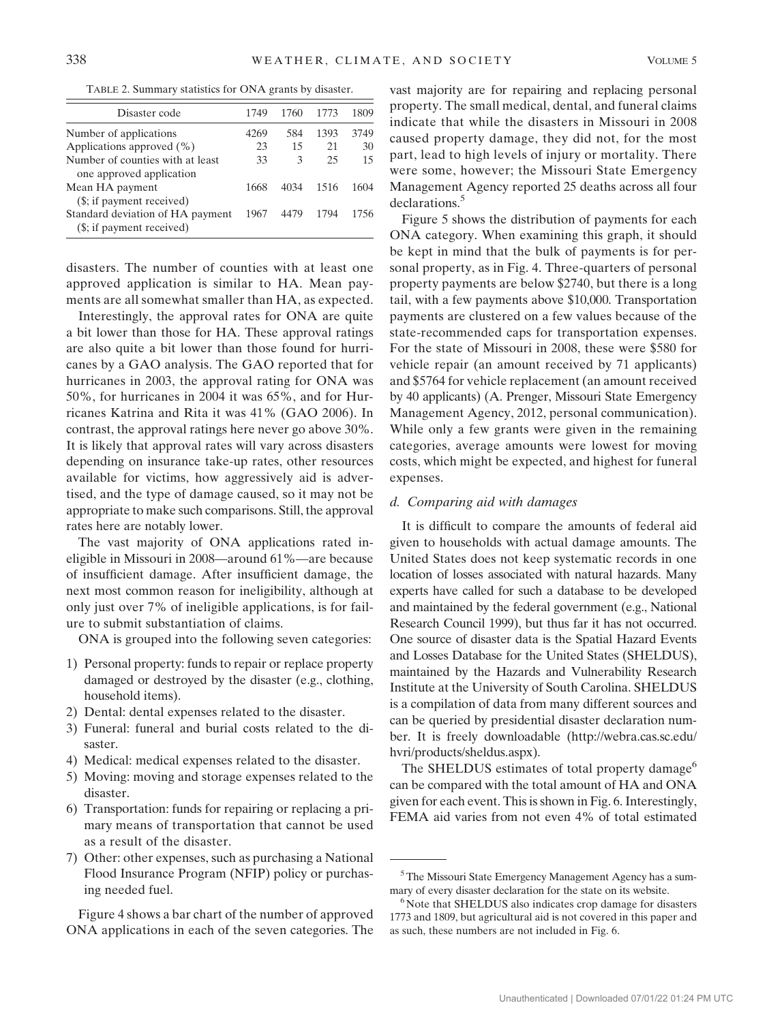TABLE 2. Summary statistics for ONA grants by disaster.

| Disaster code                                                 | 1749 | 1760 | 1773 | 1809 |
|---------------------------------------------------------------|------|------|------|------|
| Number of applications                                        | 4269 | 584  | 1393 | 3749 |
| Applications approved (%)                                     | 23   | 15   | 21   | 30   |
| Number of counties with at least                              | 33   | 3    | 25   | 15   |
| one approved application                                      |      |      |      |      |
| Mean HA payment                                               | 1668 | 4034 | 1516 | 1604 |
| (\$; if payment received)                                     |      |      |      |      |
| Standard deviation of HA payment<br>(\$; if payment received) | 1967 | 4479 | 1794 | 1756 |

disasters. The number of counties with at least one approved application is similar to HA. Mean payments are all somewhat smaller than HA, as expected.

Interestingly, the approval rates for ONA are quite a bit lower than those for HA. These approval ratings are also quite a bit lower than those found for hurricanes by a GAO analysis. The GAO reported that for hurricanes in 2003, the approval rating for ONA was 50%, for hurricanes in 2004 it was 65%, and for Hurricanes Katrina and Rita it was 41% (GAO 2006). In contrast, the approval ratings here never go above 30%. It is likely that approval rates will vary across disasters depending on insurance take-up rates, other resources available for victims, how aggressively aid is advertised, and the type of damage caused, so it may not be appropriate to make such comparisons. Still, the approval rates here are notably lower.

The vast majority of ONA applications rated ineligible in Missouri in 2008—around 61%—are because of insufficient damage. After insufficient damage, the next most common reason for ineligibility, although at only just over 7% of ineligible applications, is for failure to submit substantiation of claims.

ONA is grouped into the following seven categories:

- 1) Personal property: funds to repair or replace property damaged or destroyed by the disaster (e.g., clothing, household items).
- 2) Dental: dental expenses related to the disaster.
- 3) Funeral: funeral and burial costs related to the disaster.
- 4) Medical: medical expenses related to the disaster.
- 5) Moving: moving and storage expenses related to the disaster.
- 6) Transportation: funds for repairing or replacing a primary means of transportation that cannot be used as a result of the disaster.
- 7) Other: other expenses, such as purchasing a National Flood Insurance Program (NFIP) policy or purchasing needed fuel.

Figure 4 shows a bar chart of the number of approved ONA applications in each of the seven categories. The vast majority are for repairing and replacing personal property. The small medical, dental, and funeral claims indicate that while the disasters in Missouri in 2008 caused property damage, they did not, for the most part, lead to high levels of injury or mortality. There were some, however; the Missouri State Emergency Management Agency reported 25 deaths across all four declarations.<sup>5</sup>

Figure 5 shows the distribution of payments for each ONA category. When examining this graph, it should be kept in mind that the bulk of payments is for personal property, as in Fig. 4. Three-quarters of personal property payments are below \$2740, but there is a long tail, with a few payments above \$10,000. Transportation payments are clustered on a few values because of the state-recommended caps for transportation expenses. For the state of Missouri in 2008, these were \$580 for vehicle repair (an amount received by 71 applicants) and \$5764 for vehicle replacement (an amount received by 40 applicants) (A. Prenger, Missouri State Emergency Management Agency, 2012, personal communication). While only a few grants were given in the remaining categories, average amounts were lowest for moving costs, which might be expected, and highest for funeral expenses.

# d. Comparing aid with damages

It is difficult to compare the amounts of federal aid given to households with actual damage amounts. The United States does not keep systematic records in one location of losses associated with natural hazards. Many experts have called for such a database to be developed and maintained by the federal government (e.g., National Research Council 1999), but thus far it has not occurred. One source of disaster data is the Spatial Hazard Events and Losses Database for the United States (SHELDUS), maintained by the Hazards and Vulnerability Research Institute at the University of South Carolina. SHELDUS is a compilation of data from many different sources and can be queried by presidential disaster declaration number. It is freely downloadable [\(http://webra.cas.sc.edu/](http://webra.cas.sc.edu/hvri/products/sheldus.aspx) [hvri/products/sheldus.aspx\)](http://webra.cas.sc.edu/hvri/products/sheldus.aspx).

The SHELDUS estimates of total property damage<sup>6</sup> can be compared with the total amount of HA and ONA given for each event. This is shown in Fig. 6. Interestingly, FEMA aid varies from not even 4% of total estimated

<sup>&</sup>lt;sup>5</sup>The Missouri State Emergency Management Agency has a summary of every disaster declaration for the state on its website.<br><sup>6</sup> Note that SHELDUS also indicates crop damage for disasters

<sup>1773</sup> and 1809, but agricultural aid is not covered in this paper and as such, these numbers are not included in Fig. 6.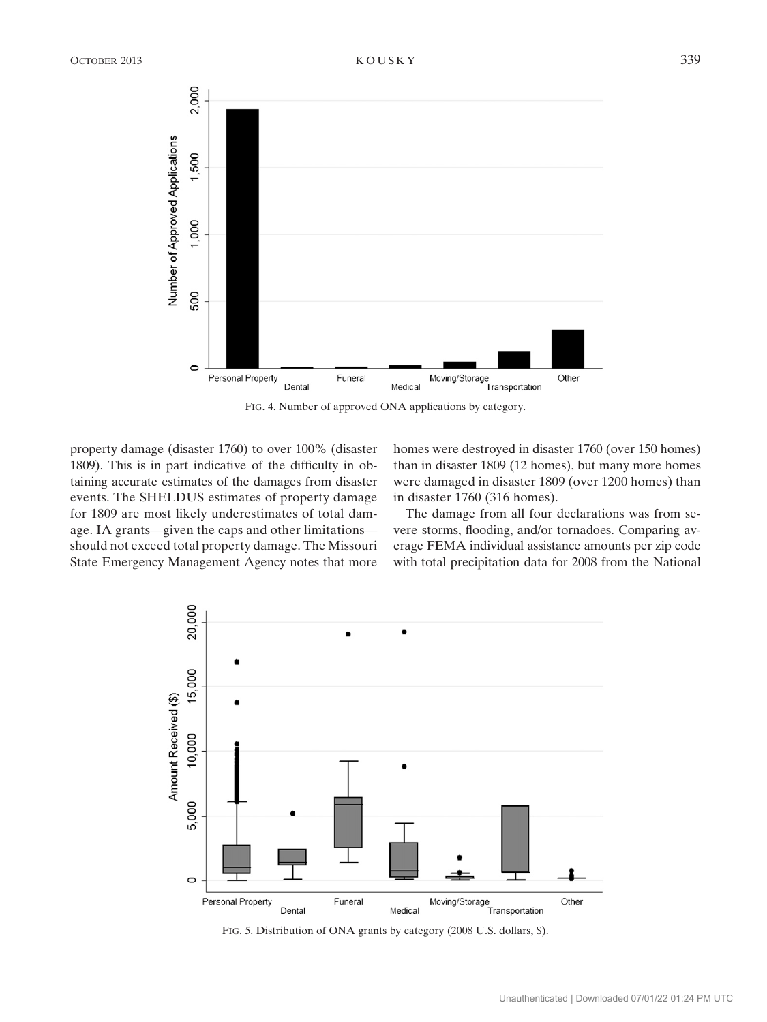

FIG. 4. Number of approved ONA applications by category.

property damage (disaster 1760) to over 100% (disaster 1809). This is in part indicative of the difficulty in obtaining accurate estimates of the damages from disaster events. The SHELDUS estimates of property damage for 1809 are most likely underestimates of total damage. IA grants—given the caps and other limitations should not exceed total property damage. The Missouri State Emergency Management Agency notes that more homes were destroyed in disaster 1760 (over 150 homes) than in disaster 1809 (12 homes), but many more homes were damaged in disaster 1809 (over 1200 homes) than in disaster 1760 (316 homes).

The damage from all four declarations was from severe storms, flooding, and/or tornadoes. Comparing average FEMA individual assistance amounts per zip code with total precipitation data for 2008 from the National



FIG. 5. Distribution of ONA grants by category (2008 U.S. dollars, \$).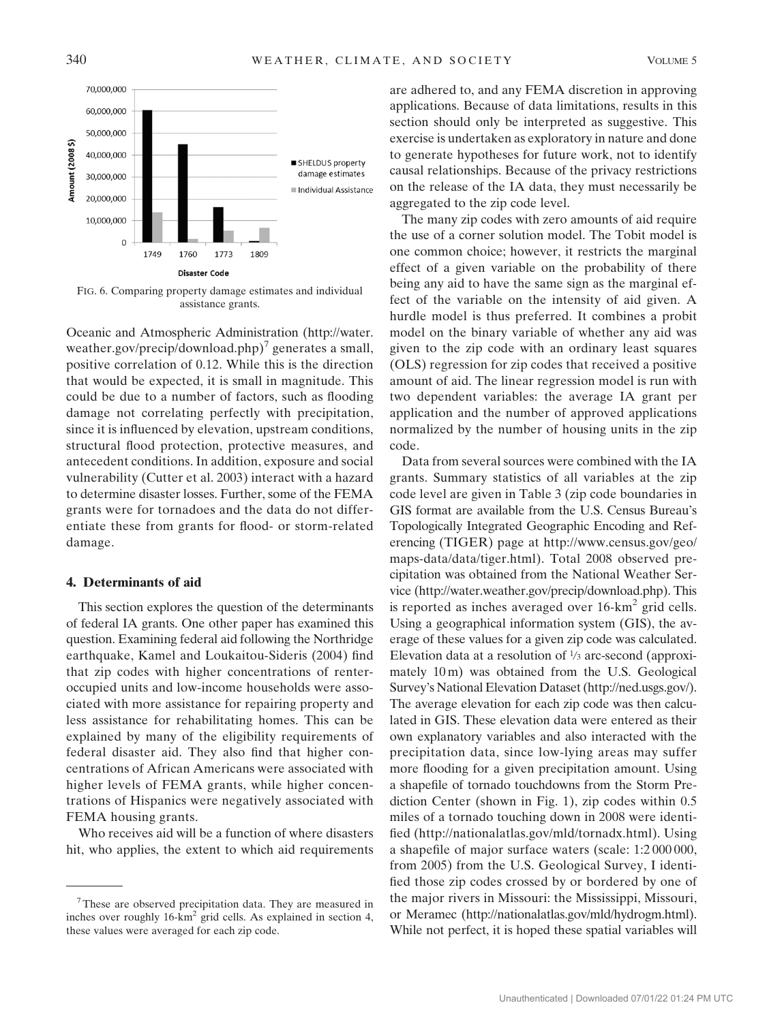

FIG. 6. Comparing property damage estimates and individual assistance grants.

Oceanic and Atmospheric Administration [\(http://water.](http://water.weather.gov/precip/download.php) [weather.gov/precip/download.php](http://water.weather.gov/precip/download.php))<sup>7</sup> generates a small, positive correlation of 0.12. While this is the direction that would be expected, it is small in magnitude. This could be due to a number of factors, such as flooding damage not correlating perfectly with precipitation, since it is influenced by elevation, upstream conditions, structural flood protection, protective measures, and antecedent conditions. In addition, exposure and social vulnerability (Cutter et al. 2003) interact with a hazard to determine disaster losses. Further, some of the FEMA grants were for tornadoes and the data do not differentiate these from grants for flood- or storm-related damage.

### 4. Determinants of aid

This section explores the question of the determinants of federal IA grants. One other paper has examined this question. Examining federal aid following the Northridge earthquake, Kamel and Loukaitou-Sideris (2004) find that zip codes with higher concentrations of renteroccupied units and low-income households were associated with more assistance for repairing property and less assistance for rehabilitating homes. This can be explained by many of the eligibility requirements of federal disaster aid. They also find that higher concentrations of African Americans were associated with higher levels of FEMA grants, while higher concentrations of Hispanics were negatively associated with FEMA housing grants.

Who receives aid will be a function of where disasters hit, who applies, the extent to which aid requirements are adhered to, and any FEMA discretion in approving applications. Because of data limitations, results in this section should only be interpreted as suggestive. This exercise is undertaken as exploratory in nature and done to generate hypotheses for future work, not to identify causal relationships. Because of the privacy restrictions on the release of the IA data, they must necessarily be aggregated to the zip code level.

The many zip codes with zero amounts of aid require the use of a corner solution model. The Tobit model is one common choice; however, it restricts the marginal effect of a given variable on the probability of there being any aid to have the same sign as the marginal effect of the variable on the intensity of aid given. A hurdle model is thus preferred. It combines a probit model on the binary variable of whether any aid was given to the zip code with an ordinary least squares (OLS) regression for zip codes that received a positive amount of aid. The linear regression model is run with two dependent variables: the average IA grant per application and the number of approved applications normalized by the number of housing units in the zip code.

Data from several sources were combined with the IA grants. Summary statistics of all variables at the zip code level are given in Table 3 (zip code boundaries in GIS format are available from the U.S. Census Bureau's Topologically Integrated Geographic Encoding and Referencing (TIGER) page at [http://www.census.gov/geo/](http://www.census.gov/geo/maps-data/data/tiger.html) [maps-data/data/tiger.html](http://www.census.gov/geo/maps-data/data/tiger.html)). Total 2008 observed precipitation was obtained from the National Weather Service (<http://water.weather.gov/precip/download.php>). This is reported as inches averaged over  $16-km^2$  grid cells. Using a geographical information system (GIS), the average of these values for a given zip code was calculated. Elevation data at a resolution of <sup>1</sup>/3 arc-second (approximately 10 m) was obtained from the U.S. Geological Survey's National Elevation Dataset [\(http://ned.usgs.gov/](http://ned.usgs.gov/)). The average elevation for each zip code was then calculated in GIS. These elevation data were entered as their own explanatory variables and also interacted with the precipitation data, since low-lying areas may suffer more flooding for a given precipitation amount. Using a shapefile of tornado touchdowns from the Storm Prediction Center (shown in Fig. 1), zip codes within 0.5 miles of a tornado touching down in 2008 were identified (<http://nationalatlas.gov/mld/tornadx.html>). Using a shapefile of major surface waters (scale: 1:2 000 000, from 2005) from the U.S. Geological Survey, I identified those zip codes crossed by or bordered by one of the major rivers in Missouri: the Mississippi, Missouri, or Meramec (<http://nationalatlas.gov/mld/hydrogm.html>). While not perfect, it is hoped these spatial variables will

<sup>7</sup>These are observed precipitation data. They are measured in inches over roughly 16-km<sup>2</sup> grid cells. As explained in section 4, these values were averaged for each zip code.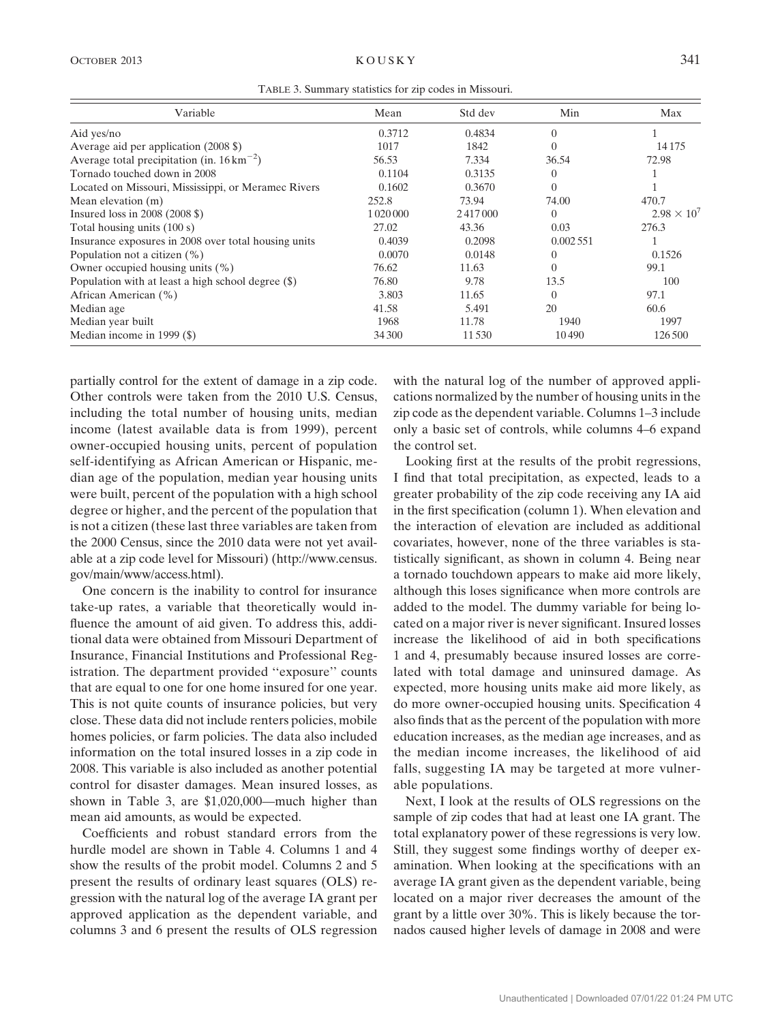| TABLE 3. Summary statistics for zip codes in Missouri. |  |  |  |
|--------------------------------------------------------|--|--|--|
|                                                        |  |  |  |

| Variable                                                | Mean   | Std dev | Min      | Max                  |
|---------------------------------------------------------|--------|---------|----------|----------------------|
| Aid yes/no                                              | 0.3712 | 0.4834  | $\theta$ |                      |
| Average aid per application (2008 \$)                   | 1017   | 1842    | 0        | 14175                |
| Average total precipitation (in. $16 \text{ km}^{-2}$ ) | 56.53  | 7.334   | 36.54    | 72.98                |
| Tornado touched down in 2008                            | 0.1104 | 0.3135  | 0        |                      |
| Located on Missouri, Mississippi, or Meramec Rivers     | 0.1602 | 0.3670  | 0        |                      |
| Mean elevation (m)                                      | 252.8  | 73.94   | 74.00    | 470.7                |
| Insured loss in $2008$ ( $2008$ \$)                     |        | 2417000 | 0        | $2.98 \times 10^{7}$ |
| Total housing units (100 s)                             | 27.02  | 43.36   | 0.03     | 276.3                |
| Insurance exposures in 2008 over total housing units    | 0.4039 | 0.2098  | 0.002551 |                      |
| Population not a citizen $(\%)$                         | 0.0070 | 0.0148  | 0        | 0.1526               |
| Owner occupied housing units $(\%)$                     | 76.62  | 11.63   | 0        | 99.1                 |
| Population with at least a high school degree $(\$)$    | 76.80  | 9.78    | 13.5     | 100                  |
| African American (%)                                    | 3.803  | 11.65   | $\Omega$ | 97.1                 |
| Median age                                              | 41.58  | 5.491   | 20       | 60.6                 |
| Median year built                                       | 1968   | 11.78   | 1940     | 1997                 |
| Median income in 1999 $(\$                              | 34 300 | 11530   | 10490    | 126500               |

partially control for the extent of damage in a zip code. Other controls were taken from the 2010 U.S. Census, including the total number of housing units, median income (latest available data is from 1999), percent owner-occupied housing units, percent of population self-identifying as African American or Hispanic, median age of the population, median year housing units were built, percent of the population with a high school degree or higher, and the percent of the population that is not a citizen (these last three variables are taken from the 2000 Census, since the 2010 data were not yet available at a zip code level for Missouri) [\(http://www.census.](http://www.census.gov/main/www/access.html) [gov/main/www/access.html](http://www.census.gov/main/www/access.html)).

One concern is the inability to control for insurance take-up rates, a variable that theoretically would influence the amount of aid given. To address this, additional data were obtained from Missouri Department of Insurance, Financial Institutions and Professional Registration. The department provided ''exposure'' counts that are equal to one for one home insured for one year. This is not quite counts of insurance policies, but very close. These data did not include renters policies, mobile homes policies, or farm policies. The data also included information on the total insured losses in a zip code in 2008. This variable is also included as another potential control for disaster damages. Mean insured losses, as shown in Table 3, are \$1,020,000—much higher than mean aid amounts, as would be expected.

Coefficients and robust standard errors from the hurdle model are shown in Table 4. Columns 1 and 4 show the results of the probit model. Columns 2 and 5 present the results of ordinary least squares (OLS) regression with the natural log of the average IA grant per approved application as the dependent variable, and columns 3 and 6 present the results of OLS regression with the natural log of the number of approved applications normalized by the number of housing units in the zip code as the dependent variable. Columns 1–3 include only a basic set of controls, while columns 4–6 expand the control set.

Looking first at the results of the probit regressions, I find that total precipitation, as expected, leads to a greater probability of the zip code receiving any IA aid in the first specification (column 1). When elevation and the interaction of elevation are included as additional covariates, however, none of the three variables is statistically significant, as shown in column 4. Being near a tornado touchdown appears to make aid more likely, although this loses significance when more controls are added to the model. The dummy variable for being located on a major river is never significant. Insured losses increase the likelihood of aid in both specifications 1 and 4, presumably because insured losses are correlated with total damage and uninsured damage. As expected, more housing units make aid more likely, as do more owner-occupied housing units. Specification 4 also finds that as the percent of the population with more education increases, as the median age increases, and as the median income increases, the likelihood of aid falls, suggesting IA may be targeted at more vulnerable populations.

Next, I look at the results of OLS regressions on the sample of zip codes that had at least one IA grant. The total explanatory power of these regressions is very low. Still, they suggest some findings worthy of deeper examination. When looking at the specifications with an average IA grant given as the dependent variable, being located on a major river decreases the amount of the grant by a little over 30%. This is likely because the tornados caused higher levels of damage in 2008 and were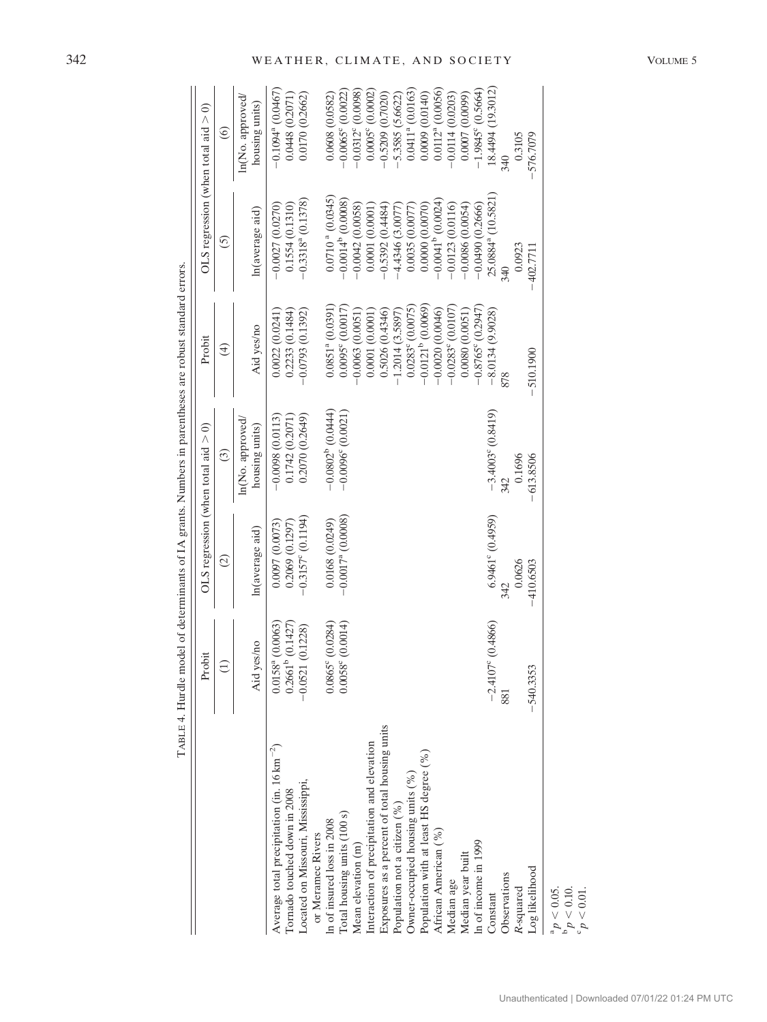|                                                                                                                                                                                                                                                                                                                                           | Probit                                                        | OLS regression (when total aid $> 0$ )                         |                                                       | Probit                                                                                                                                                                                                                   |                                                                                                                                                                                                      | OLS regression (when total aid $> 0$ )                                                                                                                                                                         |
|-------------------------------------------------------------------------------------------------------------------------------------------------------------------------------------------------------------------------------------------------------------------------------------------------------------------------------------------|---------------------------------------------------------------|----------------------------------------------------------------|-------------------------------------------------------|--------------------------------------------------------------------------------------------------------------------------------------------------------------------------------------------------------------------------|------------------------------------------------------------------------------------------------------------------------------------------------------------------------------------------------------|----------------------------------------------------------------------------------------------------------------------------------------------------------------------------------------------------------------|
|                                                                                                                                                                                                                                                                                                                                           | $\widehat{\Xi}$                                               | $\widehat{\circ}$                                              | $\odot$                                               | $\widehat{t}$                                                                                                                                                                                                            | $\overline{5}$                                                                                                                                                                                       | $\odot$                                                                                                                                                                                                        |
|                                                                                                                                                                                                                                                                                                                                           | Aid yes/no                                                    | In(average aid)                                                | ln(No. approved)<br>housing units)                    | Aid yes/no                                                                                                                                                                                                               | In(average aid)                                                                                                                                                                                      | ln(No. approved/<br>housing units)                                                                                                                                                                             |
| Average total precipitation (in. $16 \text{ km}^{-2}$ )<br>Located on Missouri, Mississippi,<br>Tornado touched down in 2008                                                                                                                                                                                                              | $0.2661b$ $(0.1427)$<br>$0.0158a$ (0.0063)<br>0.0521 (0.1228) | $-0.3157^{\circ}$ (0.1194)<br>0.0097(0.0073)<br>0.2069(0.1297) | 0.2070(0.2649)<br>$-0.0098(0.0113)$<br>0.1742(0.2071) | 0.2233(0.1484)<br>$-0.0793(0.1392)$<br>0.0022(0.0241)                                                                                                                                                                    | $-0.3318a$ (0.1378)<br>0.1554(0.1310)<br>$-0.0027(0.0270)$                                                                                                                                           | $-0.1094$ <sup>a</sup> (0.0467)<br>0.0448(0.2071)<br>0.0170 (0.2662)                                                                                                                                           |
| Exposures as a percent of total housing units<br>Interaction of precipitation and elevation<br>Population with at least HS degree (%)<br>Owner-occupied housing units (%)<br>Population not a citizen (%)<br>Total housing units (100 s)<br>In of insured loss in 2008<br>African American (%)<br>or Meramec Rivers<br>Mean elevation (m) | $0.0865^{\circ}$ (0.0284)<br>$0.0058^{\circ}$ (0.0014)        | $-0.0017$ <sup>a</sup> (0.0008)<br>0.0168(0.0249)              | $-0.0802^b$ (0.0444)<br>$-0.0096^{\circ} (0.0021)$    | $-0.0121$ <sup>b</sup> (0.0069)<br>$0.0851a$ (0.0391)<br>$0.0095^{\circ}$ (0.0017)<br>$0.0283^{\circ}$ (0.0075)<br>$-0.0020(0.0046)$<br>0.5026 (0.4346)<br>$-1.2014(3.5897)$<br>$-0.0063(0.0051)$<br>$0.0001$ $(0.0001)$ | $0.0710a$ (0.0345)<br>$-0.0014^b$ (0.0008)<br>$-0.0041$ <sup>b</sup> $(0.0024)$<br>$-0.0042(0.0058)$<br>0.0000(0.0070)<br>$-0.5392(0.4484)$<br>0.0001(0.0001)<br>$-4.4346(3.0077)$<br>0.0035(0.0077) | $0.01122$ (0.0056)<br>$0.0411a$ (0.0163)<br>$-0.0312^{\circ} (0.0098)$<br>$0.0005^{\circ}$ (0.0002)<br>$-0.0065^{\circ}$ (0.0022)<br>0.0608(0.0582)<br>0.0009 (0.0140)<br>$-0.5209(0.7020)$<br>5.3585 (5.6622) |
| In of income in 1999<br>Median year built<br>Median age                                                                                                                                                                                                                                                                                   |                                                               |                                                                |                                                       | $-0.8765^{\circ}$ (0.2947)<br>$-0.0283^{\circ}$ (0.0107)<br>0.0080(0.0051)                                                                                                                                               | $-0.0086(0.0054)$<br>$-0.0490(0.2666)$<br>$-0.0123(0.0116)$                                                                                                                                          | $-1.9845^{\circ}$ (0.5664)<br>0.0007 (0.0099)<br>$-0.0114(0.0203)$                                                                                                                                             |
| Constant                                                                                                                                                                                                                                                                                                                                  | $-2.4107^{\circ}$ (0.4866)                                    | $6.9461^{\circ} (0.4959)$                                      | $-3.4003^{\circ} (0.8419)$                            | $-8.0134(9.9028)$                                                                                                                                                                                                        | 25.0884 <sup>ª</sup> (10.5821                                                                                                                                                                        | 18.4494 (19.3012)                                                                                                                                                                                              |
| Log likelihood<br>Observations<br>R-squared                                                                                                                                                                                                                                                                                               | $-540.3353$<br>88                                             | 0.0626<br>$-410.6503$<br>342                                   | 0.1696<br>$-613.8506$<br>342                          | $-510.1900$                                                                                                                                                                                                              | 0.0923<br>-402.7711<br>340                                                                                                                                                                           | 0.3105<br>$-576.7079$<br>340                                                                                                                                                                                   |
| ${}^{a}p$ < 0.05.                                                                                                                                                                                                                                                                                                                         |                                                               |                                                                |                                                       |                                                                                                                                                                                                                          |                                                                                                                                                                                                      |                                                                                                                                                                                                                |

TABLE 4. Hurdle model of determinants of IA grants. Numbers in parentheses are robust standard errors. TABLE 4. Hurdle model of determinants of IA grants. Numbers in parentheses are robust standard errors.

 $\sigma_{\mathfrak{a}}$  $< 0.10$ .

 $\sigma$  $< 0.01$ .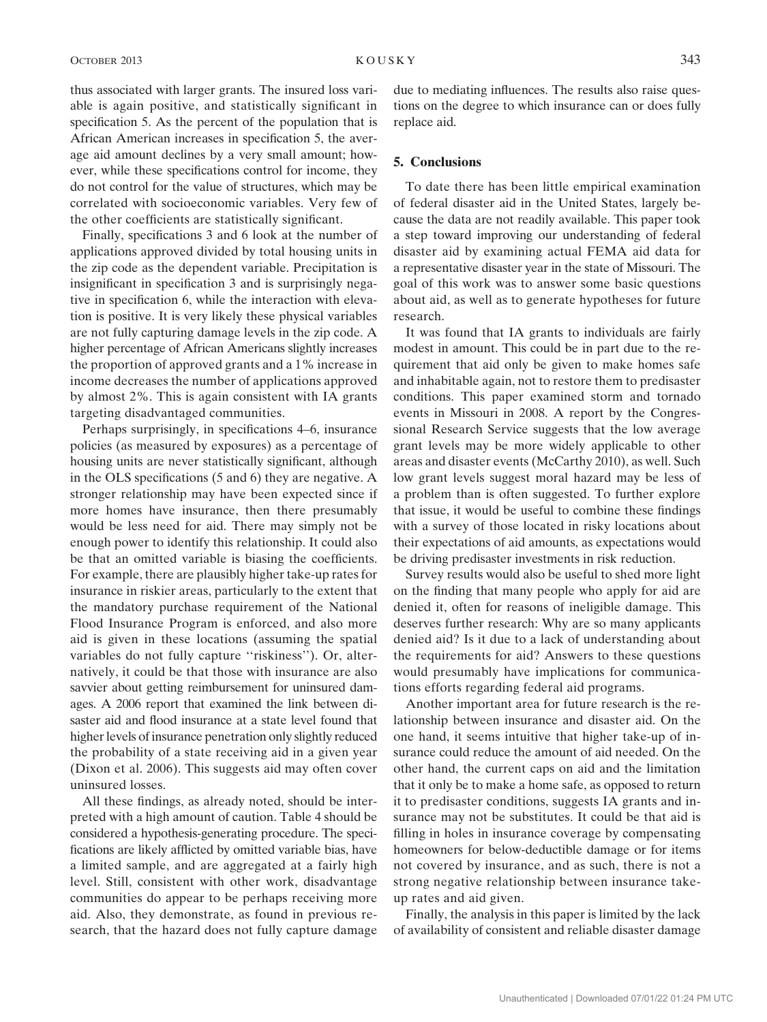thus associated with larger grants. The insured loss variable is again positive, and statistically significant in specification 5. As the percent of the population that is African American increases in specification 5, the average aid amount declines by a very small amount; however, while these specifications control for income, they do not control for the value of structures, which may be correlated with socioeconomic variables. Very few of the other coefficients are statistically significant.

Finally, specifications 3 and 6 look at the number of applications approved divided by total housing units in the zip code as the dependent variable. Precipitation is insignificant in specification 3 and is surprisingly negative in specification 6, while the interaction with elevation is positive. It is very likely these physical variables are not fully capturing damage levels in the zip code. A higher percentage of African Americans slightly increases the proportion of approved grants and a 1% increase in income decreases the number of applications approved by almost 2%. This is again consistent with IA grants targeting disadvantaged communities.

Perhaps surprisingly, in specifications 4–6, insurance policies (as measured by exposures) as a percentage of housing units are never statistically significant, although in the OLS specifications (5 and 6) they are negative. A stronger relationship may have been expected since if more homes have insurance, then there presumably would be less need for aid. There may simply not be enough power to identify this relationship. It could also be that an omitted variable is biasing the coefficients. For example, there are plausibly higher take-up rates for insurance in riskier areas, particularly to the extent that the mandatory purchase requirement of the National Flood Insurance Program is enforced, and also more aid is given in these locations (assuming the spatial variables do not fully capture "riskiness"). Or, alternatively, it could be that those with insurance are also savvier about getting reimbursement for uninsured damages. A 2006 report that examined the link between disaster aid and flood insurance at a state level found that higher levels of insurance penetration only slightly reduced the probability of a state receiving aid in a given year (Dixon et al. 2006). This suggests aid may often cover uninsured losses.

All these findings, as already noted, should be interpreted with a high amount of caution. Table 4 should be considered a hypothesis-generating procedure. The specifications are likely afflicted by omitted variable bias, have a limited sample, and are aggregated at a fairly high level. Still, consistent with other work, disadvantage communities do appear to be perhaps receiving more aid. Also, they demonstrate, as found in previous research, that the hazard does not fully capture damage

due to mediating influences. The results also raise questions on the degree to which insurance can or does fully replace aid.

## 5. Conclusions

To date there has been little empirical examination of federal disaster aid in the United States, largely because the data are not readily available. This paper took a step toward improving our understanding of federal disaster aid by examining actual FEMA aid data for a representative disaster year in the state of Missouri. The goal of this work was to answer some basic questions about aid, as well as to generate hypotheses for future research.

It was found that IA grants to individuals are fairly modest in amount. This could be in part due to the requirement that aid only be given to make homes safe and inhabitable again, not to restore them to predisaster conditions. This paper examined storm and tornado events in Missouri in 2008. A report by the Congressional Research Service suggests that the low average grant levels may be more widely applicable to other areas and disaster events (McCarthy 2010), as well. Such low grant levels suggest moral hazard may be less of a problem than is often suggested. To further explore that issue, it would be useful to combine these findings with a survey of those located in risky locations about their expectations of aid amounts, as expectations would be driving predisaster investments in risk reduction.

Survey results would also be useful to shed more light on the finding that many people who apply for aid are denied it, often for reasons of ineligible damage. This deserves further research: Why are so many applicants denied aid? Is it due to a lack of understanding about the requirements for aid? Answers to these questions would presumably have implications for communications efforts regarding federal aid programs.

Another important area for future research is the relationship between insurance and disaster aid. On the one hand, it seems intuitive that higher take-up of insurance could reduce the amount of aid needed. On the other hand, the current caps on aid and the limitation that it only be to make a home safe, as opposed to return it to predisaster conditions, suggests IA grants and insurance may not be substitutes. It could be that aid is filling in holes in insurance coverage by compensating homeowners for below-deductible damage or for items not covered by insurance, and as such, there is not a strong negative relationship between insurance takeup rates and aid given.

Finally, the analysis in this paper is limited by the lack of availability of consistent and reliable disaster damage